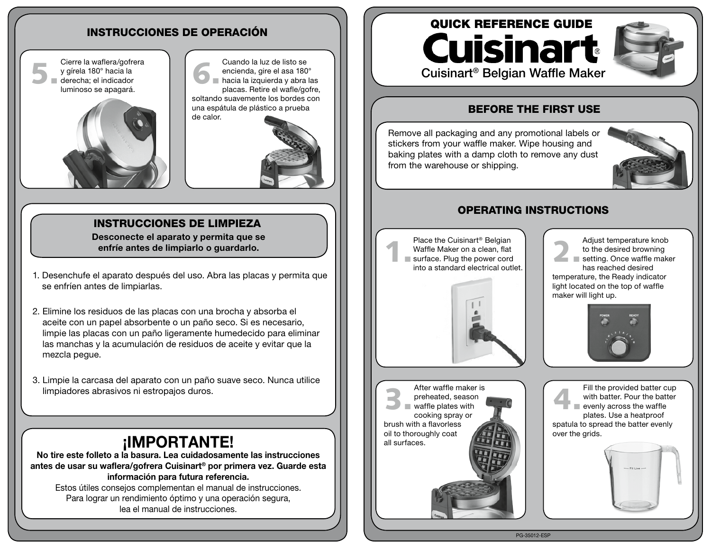## INSTRUCCIONES DE OPERACIÓN

Cierre la waflera/gofrera y gírela 180° hacia la derecha; el indicador luminoso se apagará. Cierre la watlera/gotrera<br>
y gírela 180° hacia la<br>
derecha; el indicador<br>
luminese es energeré



Cuando la luz de listo se encienda, gire el asa 180° hacia la izquierda y abra las placas. Retire el wafle/gofre, soltando suavemente los bordes con una espátula de plástico a prueba de calor.



## INSTRUCCIONES DE LIMPIEZA

Desconecte el aparato y permita que se enfríe antes de limpiarlo o guardarlo.

- 1. Desenchufe el aparato después del uso. Abra las placas y permita que se enfríen antes de limpiarlas.
- 2. Elimine los residuos de las placas con una brocha y absorba el aceite con un papel absorbente o un paño seco. Si es necesario, limpie las placas con un paño ligeramente humedecido para eliminar las manchas y la acumulación de residuos de aceite y evitar que la mezcla pegue.
- 3. Limpie la carcasa del aparato con un paño suave seco. Nunca utilice limpiadores abrasivos ni estropajos duros.

# ¡IMPORTANTE!

No tire este folleto a la basura. Lea cuidadosamente las instrucciones antes de usar su waflera/gofrera Cuisinart® por primera vez. Guarde esta información para futura referencia.

Estos útiles consejos complementan el manual de instrucciones. Para lograr un rendimiento óptimo y una operación segura, lea el manual de instrucciones.

# QUICK REFERENCE GUIDE **Cuisinart** Cuisinart® Belgian Waffle Maker



## BEFORE THE FIRST USE

Remove all packaging and any promotional labels or stickers from your waffle maker. Wipe housing and baking plates with a damp cloth to remove any dust from the warehouse or shipping.



#### OPERATING INSTRUCTIONS

Place the Cuisinart® Belgian Waffle Maker on a clean, flat surface. Plug the power cord into a standard electrical outlet. 1.



Adjust temperature knob to the desired browning setting. Once waffle maker has reached desired temperature, the Ready indicator light located on the top of waffle maker will light up. 2.



After waffle maker is preheated, season  $\blacksquare$  waffle plates with cooking spray or brush with a flavorless oil to thoroughly coat all surfaces. 3.

Fill the provided batter cup with batter. Pour the batter evenly across the waffle plates. Use a heatproof spatula to spread the batter evenly over the grids. 4.